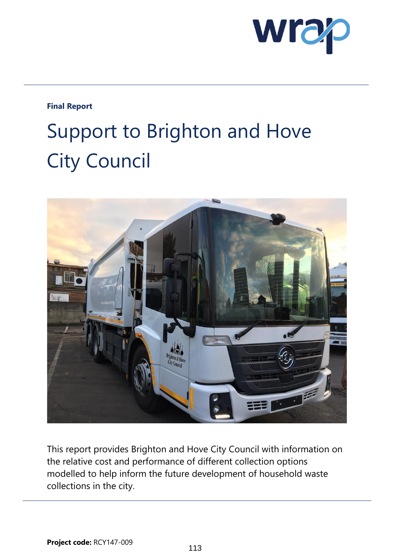

### **Final Report**

# Support to Brighton and Hove City Council



This report provides Brighton and Hove City Council with information on the relative cost and performance of different collection options modelled to help inform the future development of household waste collections in the city.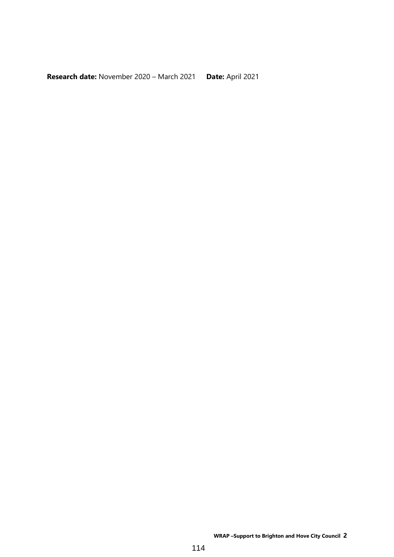**Research date:** November 2020 – March 2021 **Date:** April 2021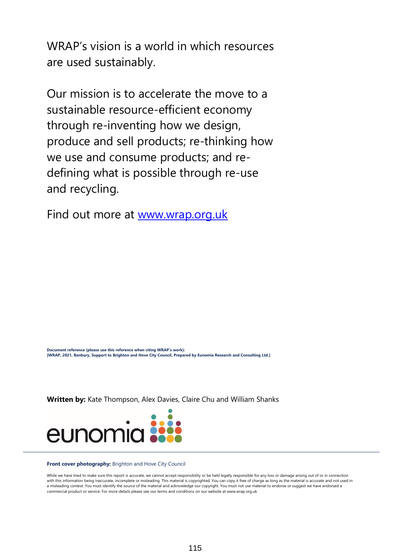WRAP's vision is a world in which resources are used sustainably.

Our mission is to accelerate the move to a sustainable resource-efficient economy through re-inventing how we design, produce and sell products; re-thinking how we use and consume products; and redefining what is possible through re-use and recycling.

Find out more at [www.wrap.org.uk](http://www.wrap.org.uk/)

**Document reference (please use this reference when citing WRAP's work): [WRAP, 2021, Banbury, Support to Brighton and Hove City Council, Prepared by Eunomia Research and Consulting Ltd.]**

**Written by:** Kate Thompson, Alex Davies, Claire Chu and William Shanks



#### **Front cover photography:** Brighton and Hove City Council

While we have tried to make sure this report is accurate, we cannot accept responsibility or be held legally responsible for any loss or damage arising out of or in connection with this information being inaccurate, incomplete or misleading. This material is copyrighted. You can copy it free of charge as long as the material is accurate and not used in a misleading context. You must identify the source of the material and acknowledge our copyright. You must not use material to endorse or suggest we have endorsed a commercial product or service. For more details please see our terms and conditions on our website at www.wrap.org.uk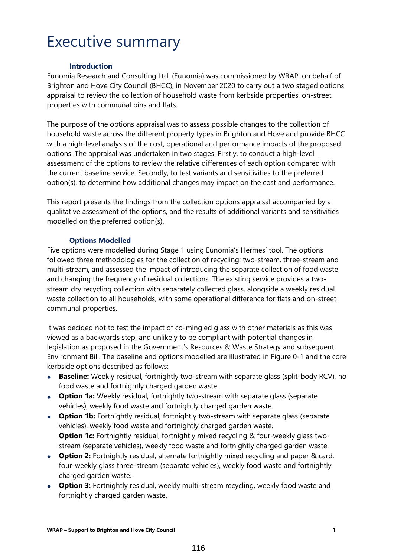## Executive summary

#### **Introduction**

Eunomia Research and Consulting Ltd. (Eunomia) was commissioned by WRAP, on behalf of Brighton and Hove City Council (BHCC), in November 2020 to carry out a two staged options appraisal to review the collection of household waste from kerbside properties, on-street properties with communal bins and flats.

The purpose of the options appraisal was to assess possible changes to the collection of household waste across the different property types in Brighton and Hove and provide BHCC with a high-level analysis of the cost, operational and performance impacts of the proposed options. The appraisal was undertaken in two stages. Firstly, to conduct a high-level assessment of the options to review the relative differences of each option compared with the current baseline service. Secondly, to test variants and sensitivities to the preferred option(s), to determine how additional changes may impact on the cost and performance.

This report presents the findings from the collection options appraisal accompanied by a qualitative assessment of the options, and the results of additional variants and sensitivities modelled on the preferred option(s).

#### **Options Modelled**

Five options were modelled during Stage 1 using Eunomia's Hermes' tool. The options followed three methodologies for the collection of recycling; two-stream, three-stream and multi-stream, and assessed the impact of introducing the separate collection of food waste and changing the frequency of residual collections. The existing service provides a twostream dry recycling collection with separately collected glass, alongside a weekly residual waste collection to all households, with some operational difference for flats and on-street communal properties.

It was decided not to test the impact of co-mingled glass with other materials as this was viewed as a backwards step, and unlikely to be compliant with potential changes in legislation as proposed in the Government's Resources & Waste Strategy and subsequent Environment Bill. The baseline and options modelled are illustrated in [Figure 0-1](#page-4-0) and the core kerbside options described as follows:

- **Baseline:** Weekly residual, fortnightly two-stream with separate glass (split-body RCV), no food waste and fortnightly charged garden waste.
- **Option 1a:** Weekly residual, fortnightly two-stream with separate glass (separate vehicles), weekly food waste and fortnightly charged garden waste.
- **Option 1b:** Fortnightly residual, fortnightly two-stream with separate glass (separate vehicles), weekly food waste and fortnightly charged garden waste. **Option 1c:** Fortnightly residual, fortnightly mixed recycling & four-weekly glass twostream (separate vehicles), weekly food waste and fortnightly charged garden waste.
- **Option 2:** Fortnightly residual, alternate fortnightly mixed recycling and paper & card, four-weekly glass three-stream (separate vehicles), weekly food waste and fortnightly charged garden waste.
- **Option 3:** Fortnightly residual, weekly multi-stream recycling, weekly food waste and fortnightly charged garden waste.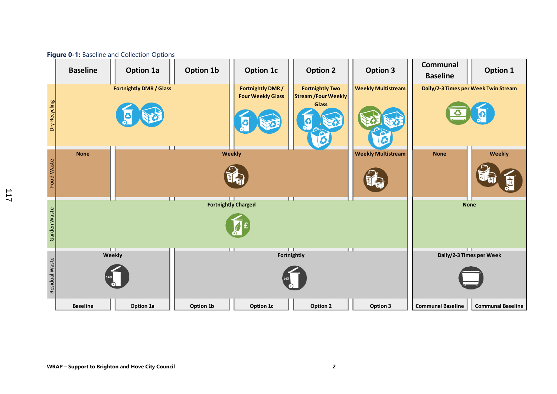<span id="page-4-0"></span>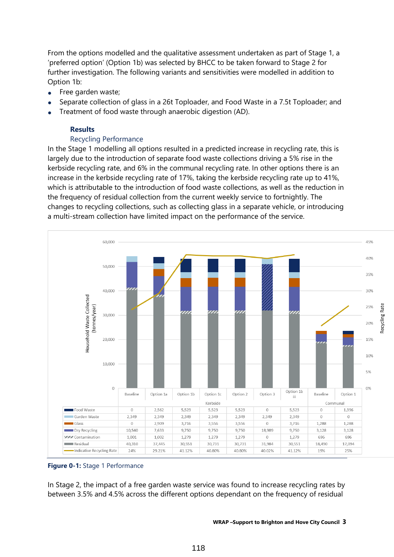From the options modelled and the qualitative assessment undertaken as part of Stage 1, a 'preferred option' (Option 1b) was selected by BHCC to be taken forward to Stage 2 for further investigation. The following variants and sensitivities were modelled in addition to Option 1b:

- Free garden waste;
- Separate collection of glass in a 26t Toploader, and Food Waste in a 7.5t Toploader; and
- Treatment of food waste through anaerobic digestion (AD).

#### **Results**

#### Recycling Performance

In the Stage 1 modelling all options resulted in a predicted increase in recycling rate, this is largely due to the introduction of separate food waste collections driving a 5% rise in the kerbside recycling rate, and 6% in the communal recycling rate. In other options there is an increase in the kerbside recycling rate of 17%, taking the kerbside recycling rate up to 41%, which is attributable to the introduction of food waste collections, as well as the reduction in the frequency of residual collection from the current weekly service to fortnightly. The changes to recycling collections, such as collecting glass in a separate vehicle, or introducing a multi-stream collection have limited impact on the performance of the service.



#### **Figure 0-1:** Stage 1 Performance

In Stage 2, the impact of a free garden waste service was found to increase recycling rates by between 3.5% and 4.5% across the different options dependant on the frequency of residual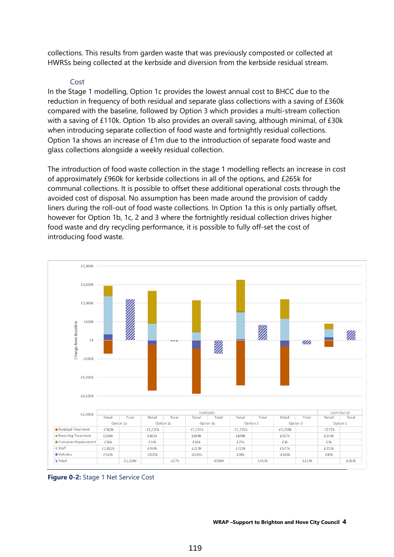collections. This results from garden waste that was previously composted or collected at HWRSs being collected at the kerbside and diversion from the kerbside residual stream.

#### Cost

In the Stage 1 modelling, Option 1c provides the lowest annual cost to BHCC due to the reduction in frequency of both residual and separate glass collections with a saving of £360k compared with the baseline, followed by Option 3 which provides a multi-stream collection with a saving of £110k. Option 1b also provides an overall saving, although minimal, of £30k when introducing separate collection of food waste and fortnightly residual collections. Option 1a shows an increase of £1m due to the introduction of separate food waste and glass collections alongside a weekly residual collection.

The introduction of food waste collection in the stage 1 modelling reflects an increase in cost of approximately £960k for kerbside collections in all of the options, and £265k for communal collections. It is possible to offset these additional operational costs through the avoided cost of disposal. No assumption has been made around the provision of caddy liners during the roll-out of food waste collections. In Option 1a this is only partially offset, however for Option 1b, 1c, 2 and 3 where the fortnightly residual collection drives higher food waste and dry recycling performance, it is possible to fully off-set the cost of introducing food waste.



**Figure 0-2:** Stage 1 Net Service Cost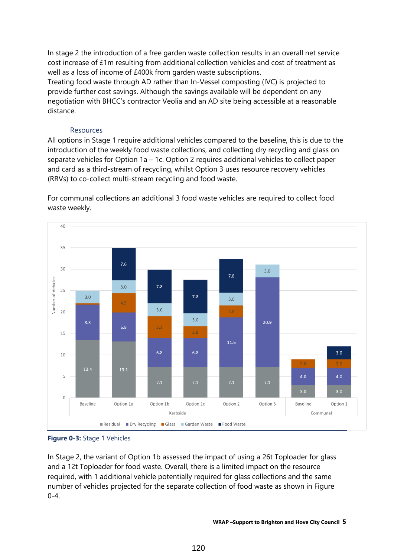In stage 2 the introduction of a free garden waste collection results in an overall net service cost increase of £1m resulting from additional collection vehicles and cost of treatment as well as a loss of income of £400k from garden waste subscriptions.

Treating food waste through AD rather than In-Vessel composting (IVC) is projected to provide further cost savings. Although the savings available will be dependent on any negotiation with BHCC's contractor Veolia and an AD site being accessible at a reasonable distance.

#### Resources

All options in Stage 1 require additional vehicles compared to the baseline, this is due to the introduction of the weekly food waste collections, and collecting dry recycling and glass on separate vehicles for Option 1a – 1c. Option 2 requires additional vehicles to collect paper and card as a third-stream of recycling, whilst Option 3 uses resource recovery vehicles (RRVs) to co-collect multi-stream recycling and food waste.

For communal collections an additional 3 food waste vehicles are required to collect food waste weekly.



**Figure 0-3:** Stage 1 Vehicles

In Stage 2, the variant of Option 1b assessed the impact of using a 26t Toploader for glass and a 12t Toploader for food waste. Overall, there is a limited impact on the resource required, with 1 additional vehicle potentially required for glass collections and the same number of vehicles projected for the separate collection of food waste as shown in [Figure](#page-8-0)   $0 - 4.$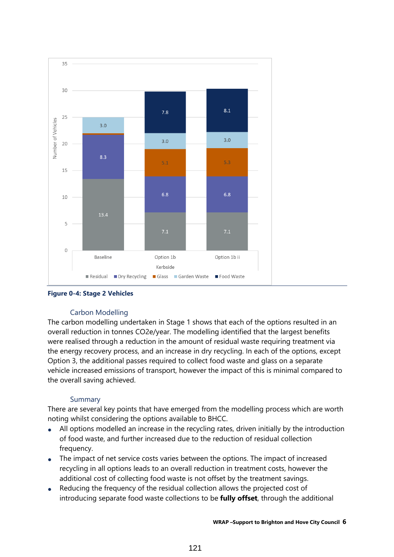

<span id="page-8-0"></span>**Figure 0-4: Stage 2 Vehicles**

#### Carbon Modelling

The carbon modelling undertaken in Stage 1 shows that each of the options resulted in an overall reduction in tonnes CO2e/year. The modelling identified that the largest benefits were realised through a reduction in the amount of residual waste requiring treatment via the energy recovery process, and an increase in dry recycling. In each of the options, except Option 3, the additional passes required to collect food waste and glass on a separate vehicle increased emissions of transport, however the impact of this is minimal compared to the overall saving achieved.

#### Summary

There are several key points that have emerged from the modelling process which are worth noting whilst considering the options available to BHCC.

- All options modelled an increase in the recycling rates, driven initially by the introduction of food waste, and further increased due to the reduction of residual collection frequency.
- The impact of net service costs varies between the options. The impact of increased recycling in all options leads to an overall reduction in treatment costs, however the additional cost of collecting food waste is not offset by the treatment savings.
- Reducing the frequency of the residual collection allows the projected cost of introducing separate food waste collections to be **fully offset**, through the additional